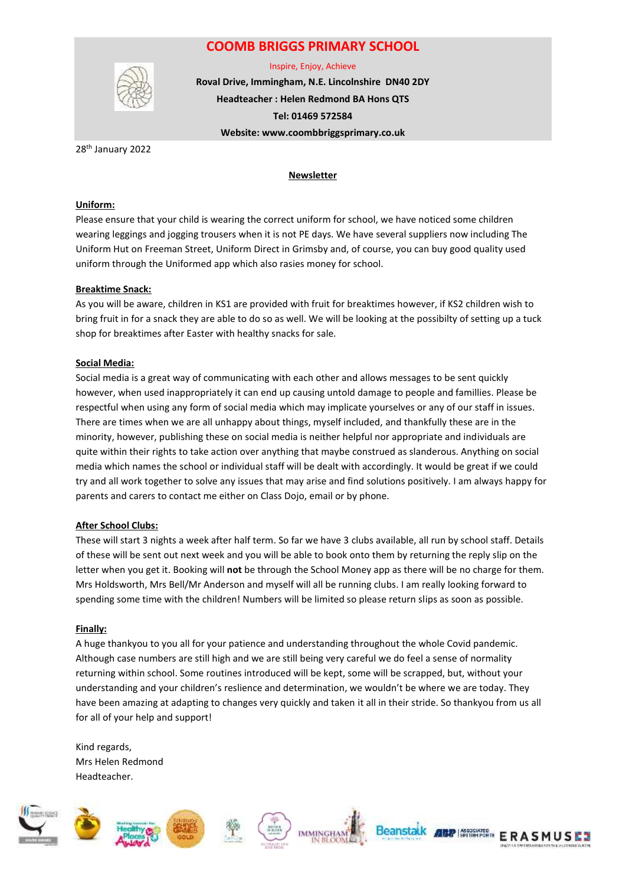## **COOMB BRIGGS PRIMARY SCHOOL**



Inspire, Enjoy, Achieve

**Roval Drive, Immingham, N.E. Lincolnshire DN40 2DY Headteacher : Helen Redmond BA Hons QTS Tel: 01469 572584 Website: www.coombbriggsprimary.co.uk**

28<sup>th</sup> January 2022

#### **Newsletter**

#### **Uniform:**

Please ensure that your child is wearing the correct uniform for school, we have noticed some children wearing leggings and jogging trousers when it is not PE days. We have several suppliers now including The Uniform Hut on Freeman Street, Uniform Direct in Grimsby and, of course, you can buy good quality used uniform through the Uniformed app which also rasies money for school.

## **Breaktime Snack:**

As you will be aware, children in KS1 are provided with fruit for breaktimes however, if KS2 children wish to bring fruit in for a snack they are able to do so as well. We will be looking at the possibilty of setting up a tuck shop for breaktimes after Easter with healthy snacks for sale.

#### **Social Media:**

Social media is a great way of communicating with each other and allows messages to be sent quickly however, when used inappropriately it can end up causing untold damage to people and famillies. Please be respectful when using any form of social media which may implicate yourselves or any of our staff in issues. There are times when we are all unhappy about things, myself included, and thankfully these are in the minority, however, publishing these on social media is neither helpful nor appropriate and individuals are quite within their rights to take action over anything that maybe construed as slanderous. Anything on social media which names the school or individual staff will be dealt with accordingly. It would be great if we could try and all work together to solve any issues that may arise and find solutions positively. I am always happy for parents and carers to contact me either on Class Dojo, email or by phone.

## **After School Clubs:**

These will start 3 nights a week after half term. So far we have 3 clubs available, all run by school staff. Details of these will be sent out next week and you will be able to book onto them by returning the reply slip on the letter when you get it. Booking will **not** be through the School Money app as there will be no charge for them. Mrs Holdsworth, Mrs Bell/Mr Anderson and myself will all be running clubs. I am really looking forward to spending some time with the children! Numbers will be limited so please return slips as soon as possible.

## **Finally:**

A huge thankyou to you all for your patience and understanding throughout the whole Covid pandemic. Although case numbers are still high and we are still being very careful we do feel a sense of normality returning within school. Some routines introduced will be kept, some will be scrapped, but, without your understanding and your children's reslience and determination, we wouldn't be where we are today. They have been amazing at adapting to changes very quickly and taken it all in their stride. So thankyou from us all for all of your help and support!

Kind regards, Mrs Helen Redmond Headteacher.